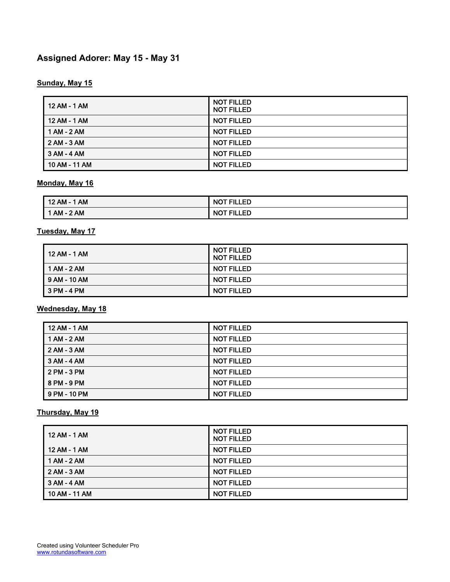# **Assigned Adorer: May 15 - May 31**

## **Sunday, May 15**

| 12 AM - 1 AM  | <b>NOT FILLED</b><br><b>NOT FILLED</b> |
|---------------|----------------------------------------|
| 12 AM - 1 AM  | <b>NOT FILLED</b>                      |
| 1 AM - 2 AM   | <b>NOT FILLED</b>                      |
| 2 AM - 3 AM   | <b>NOT FILLED</b>                      |
| 3 AM - 4 AM   | <b>NOT FILLED</b>                      |
| 10 AM - 11 AM | <b>NOT FILLED</b>                      |

#### **Monday, May 16**

| 12 AM - 1 AM | <b>NOT FILLED</b> |
|--------------|-------------------|
| 1 AM - 2 AM  | <b>NOT FILLED</b> |

#### **Tuesday, May 17**

| 12 AM - 1 AM | NOT FILLED<br><b>NOT FILLED</b> |
|--------------|---------------------------------|
| 1 AM - 2 AM  | <b>NOT FILLED</b>               |
| 9 AM - 10 AM | <b>NOT FILLED</b>               |
| 3 PM - 4 PM  | NOT FILLED                      |

### **Wednesday, May 18**

| 12 AM - 1 AM | <b>NOT FILLED</b> |
|--------------|-------------------|
| 1 AM - 2 AM  | <b>NOT FILLED</b> |
| 2 AM - 3 AM  | <b>NOT FILLED</b> |
| 3 AM - 4 AM  | <b>NOT FILLED</b> |
| 2 PM - 3 PM  | <b>NOT FILLED</b> |
| 8 PM - 9 PM  | <b>NOT FILLED</b> |
| 9 PM - 10 PM | <b>NOT FILLED</b> |

### **Thursday, May 19**

| 12 AM - 1 AM  | <b>NOT FILLED</b><br><b>NOT FILLED</b> |
|---------------|----------------------------------------|
| 12 AM - 1 AM  | <b>NOT FILLED</b>                      |
| $1AM - 2AM$   | <b>NOT FILLED</b>                      |
| 2 AM - 3 AM   | <b>NOT FILLED</b>                      |
| 3 AM - 4 AM   | <b>NOT FILLED</b>                      |
| 10 AM - 11 AM | <b>NOT FILLED</b>                      |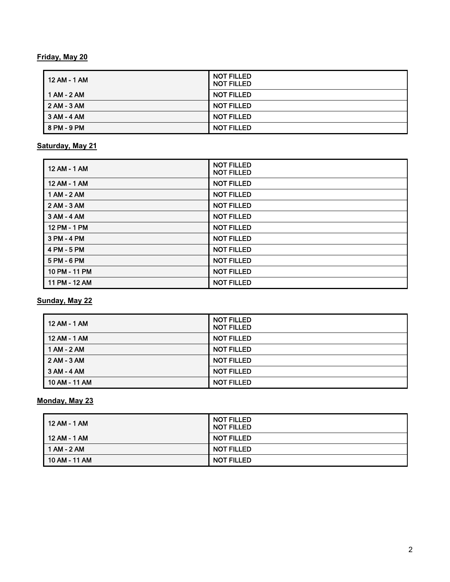#### **Friday, May 20**

| 12 AM - 1 AM | <b>NOT FILLED</b><br><b>NOT FILLED</b> |
|--------------|----------------------------------------|
| 1 AM - 2 AM  | <b>NOT FILLED</b>                      |
| 2 AM - 3 AM  | <b>NOT FILLED</b>                      |
| 3 AM - 4 AM  | <b>NOT FILLED</b>                      |
| 8 PM - 9 PM  | <b>NOT FILLED</b>                      |

## **Saturday, May 21**

| 12 AM - 1 AM  | <b>NOT FILLED</b><br><b>NOT FILLED</b> |
|---------------|----------------------------------------|
| 12 AM - 1 AM  | <b>NOT FILLED</b>                      |
| 1 AM - 2 AM   | <b>NOT FILLED</b>                      |
| 2 AM - 3 AM   | <b>NOT FILLED</b>                      |
| 3 AM - 4 AM   | <b>NOT FILLED</b>                      |
| 12 PM - 1 PM  | <b>NOT FILLED</b>                      |
| 3 PM - 4 PM   | <b>NOT FILLED</b>                      |
| 4 PM - 5 PM   | <b>NOT FILLED</b>                      |
| 5 PM - 6 PM   | <b>NOT FILLED</b>                      |
| 10 PM - 11 PM | <b>NOT FILLED</b>                      |
| 11 PM - 12 AM | <b>NOT FILLED</b>                      |

## **Sunday, May 22**

| 12 AM - 1 AM  | <b>NOT FILLED</b><br><b>NOT FILLED</b> |
|---------------|----------------------------------------|
| 12 AM - 1 AM  | <b>NOT FILLED</b>                      |
| 1 AM - 2 AM   | <b>NOT FILLED</b>                      |
| 2 AM - 3 AM   | <b>NOT FILLED</b>                      |
| 3 AM - 4 AM   | <b>NOT FILLED</b>                      |
| 10 AM - 11 AM | <b>NOT FILLED</b>                      |

#### **Monday, May 23**

| 12 AM - 1 AM  | <b>NOT FILLED</b><br><b>NOT FILLED</b> |
|---------------|----------------------------------------|
| 12 AM - 1 AM  | <b>NOT FILLED</b>                      |
| 1 AM - 2 AM   | <b>NOT FILLED</b>                      |
| 10 AM - 11 AM | <b>NOT FILLED</b>                      |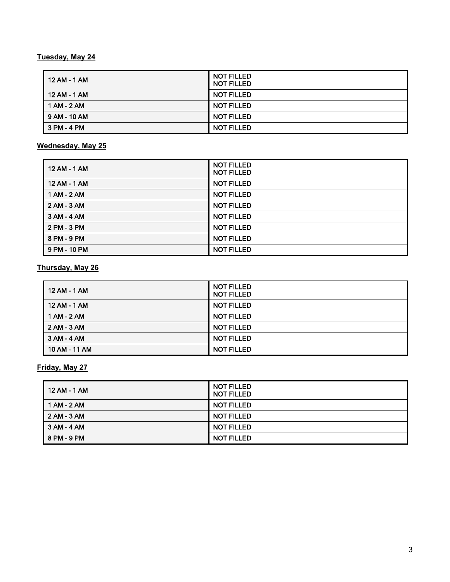#### **Tuesday, May 24**

| 12 AM - 1 AM | <b>NOT FILLED</b><br><b>NOT FILLED</b> |
|--------------|----------------------------------------|
| 12 AM - 1 AM | <b>NOT FILLED</b>                      |
| 1 AM - 2 AM  | <b>NOT FILLED</b>                      |
| 9 AM - 10 AM | <b>NOT FILLED</b>                      |
| 3 PM - 4 PM  | <b>NOT FILLED</b>                      |

### **Wednesday, May 25**

| 12 AM - 1 AM | <b>NOT FILLED</b><br><b>NOT FILLED</b> |
|--------------|----------------------------------------|
| 12 AM - 1 AM | <b>NOT FILLED</b>                      |
| 1 AM - 2 AM  | <b>NOT FILLED</b>                      |
| 2 AM - 3 AM  | <b>NOT FILLED</b>                      |
| 3 AM - 4 AM  | <b>NOT FILLED</b>                      |
| 2 PM - 3 PM  | <b>NOT FILLED</b>                      |
| 8 PM - 9 PM  | <b>NOT FILLED</b>                      |
| 9 PM - 10 PM | <b>NOT FILLED</b>                      |

## **Thursday, May 26**

| 12 AM - 1 AM  | <b>NOT FILLED</b><br><b>NOT FILLED</b> |
|---------------|----------------------------------------|
| 12 AM - 1 AM  | <b>NOT FILLED</b>                      |
| 1 AM - 2 AM   | <b>NOT FILLED</b>                      |
| $2AM - 3AM$   | <b>NOT FILLED</b>                      |
| 3 AM - 4 AM   | <b>NOT FILLED</b>                      |
| 10 AM - 11 AM | <b>NOT FILLED</b>                      |

### **Friday, May 27**

| 12 AM - 1 AM | <b>NOT FILLED</b><br><b>NOT FILLED</b> |
|--------------|----------------------------------------|
| 1 AM - 2 AM  | <b>NOT FILLED</b>                      |
| 2 AM - 3 AM  | NOT FILLED                             |
| 3 AM - 4 AM  | <b>NOT FILLED</b>                      |
| 8 PM - 9 PM  | <b>NOT FILLED</b>                      |